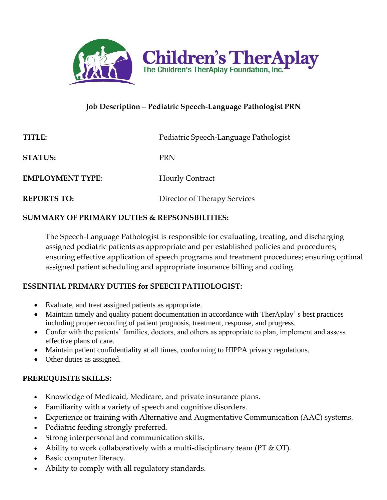

# **Job Description – Pediatric Speech-Language Pathologist PRN**

| TITLE                   | Pediatric Speech-Language Pathologist |
|-------------------------|---------------------------------------|
| <b>STATUS:</b>          | <b>PRN</b>                            |
| <b>EMPLOYMENT TYPE:</b> | <b>Hourly Contract</b>                |
| <b>REPORTS TO:</b>      | Director of Therapy Services          |

#### **SUMMARY OF PRIMARY DUTIES & REPSONSBILITIES:**

The Speech-Language Pathologist is responsible for evaluating, treating, and discharging assigned pediatric patients as appropriate and per established policies and procedures; ensuring effective application of speech programs and treatment procedures; ensuring optimal assigned patient scheduling and appropriate insurance billing and coding.

## **ESSENTIAL PRIMARY DUTIES for SPEECH PATHOLOGIST:**

- Evaluate, and treat assigned patients as appropriate.
- Maintain timely and quality patient documentation in accordance with TherAplay's best practices including proper recording of patient prognosis, treatment, response, and progress.
- Confer with the patients' families, doctors, and others as appropriate to plan, implement and assess effective plans of care.
- Maintain patient confidentiality at all times, conforming to HIPPA privacy regulations.
- Other duties as assigned.

## **PREREQUISITE SKILLS:**

- Knowledge of Medicaid, Medicare, and private insurance plans.
- Familiarity with a variety of speech and cognitive disorders.
- Experience or training with Alternative and Augmentative Communication (AAC) systems.
- Pediatric feeding strongly preferred.
- Strong interpersonal and communication skills.
- Ability to work collaboratively with a multi-disciplinary team (PT  $& O(T)$ ).
- Basic computer literacy.
- Ability to comply with all regulatory standards.